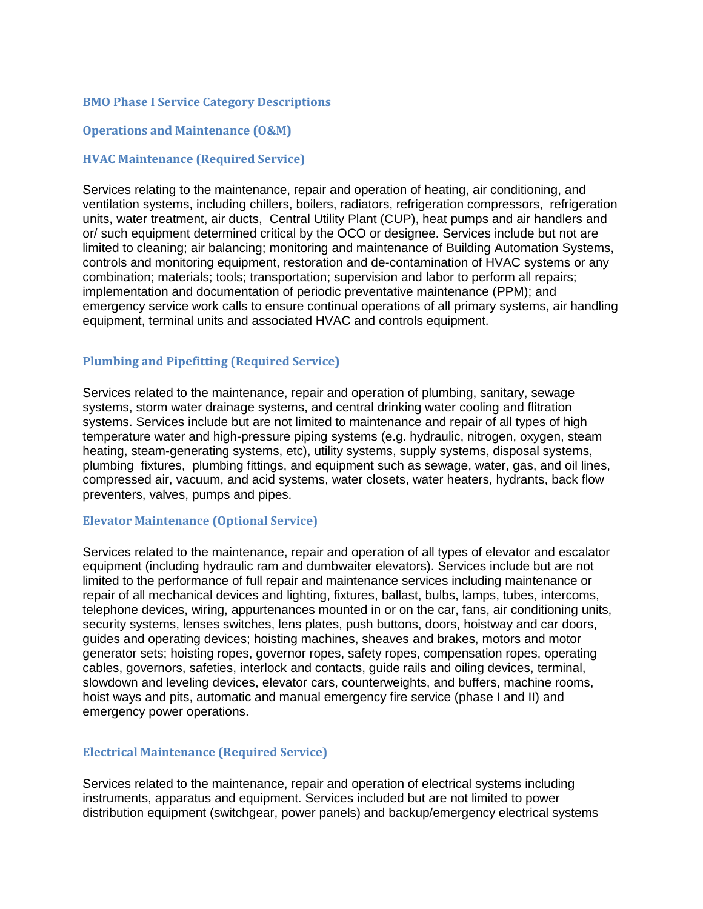# **BMO Phase I Service Category Descriptions**

# **Operations and Maintenance (O&M)**

## **HVAC Maintenance (Required Service)**

Services relating to the maintenance, repair and operation of heating, air conditioning, and ventilation systems, including chillers, boilers, radiators, refrigeration compressors, refrigeration units, water treatment, air ducts, Central Utility Plant (CUP), heat pumps and air handlers and or/ such equipment determined critical by the OCO or designee. Services include but not are limited to cleaning; air balancing; monitoring and maintenance of Building Automation Systems, controls and monitoring equipment, restoration and de-contamination of HVAC systems or any combination; materials; tools; transportation; supervision and labor to perform all repairs; implementation and documentation of periodic preventative maintenance (PPM); and emergency service work calls to ensure continual operations of all primary systems, air handling equipment, terminal units and associated HVAC and controls equipment.

#### **Plumbing and Pipefitting (Required Service)**

Services related to the maintenance, repair and operation of plumbing, sanitary, sewage systems, storm water drainage systems, and central drinking water cooling and flitration systems. Services include but are not limited to maintenance and repair of all types of high temperature water and high-pressure piping systems (e.g. hydraulic, nitrogen, oxygen, steam heating, steam-generating systems, etc), utility systems, supply systems, disposal systems, plumbing fixtures, plumbing fittings, and equipment such as sewage, water, gas, and oil lines, compressed air, vacuum, and acid systems, water closets, water heaters, hydrants, back flow preventers, valves, pumps and pipes.

#### **Elevator Maintenance (Optional Service)**

Services related to the maintenance, repair and operation of all types of elevator and escalator equipment (including hydraulic ram and dumbwaiter elevators). Services include but are not limited to the performance of full repair and maintenance services including maintenance or repair of all mechanical devices and lighting, fixtures, ballast, bulbs, lamps, tubes, intercoms, telephone devices, wiring, appurtenances mounted in or on the car, fans, air conditioning units, security systems, lenses switches, lens plates, push buttons, doors, hoistway and car doors, guides and operating devices; hoisting machines, sheaves and brakes, motors and motor generator sets; hoisting ropes, governor ropes, safety ropes, compensation ropes, operating cables, governors, safeties, interlock and contacts, guide rails and oiling devices, terminal, slowdown and leveling devices, elevator cars, counterweights, and buffers, machine rooms, hoist ways and pits, automatic and manual emergency fire service (phase I and II) and emergency power operations.

## **Electrical Maintenance (Required Service)**

Services related to the maintenance, repair and operation of electrical systems including instruments, apparatus and equipment. Services included but are not limited to power distribution equipment (switchgear, power panels) and backup/emergency electrical systems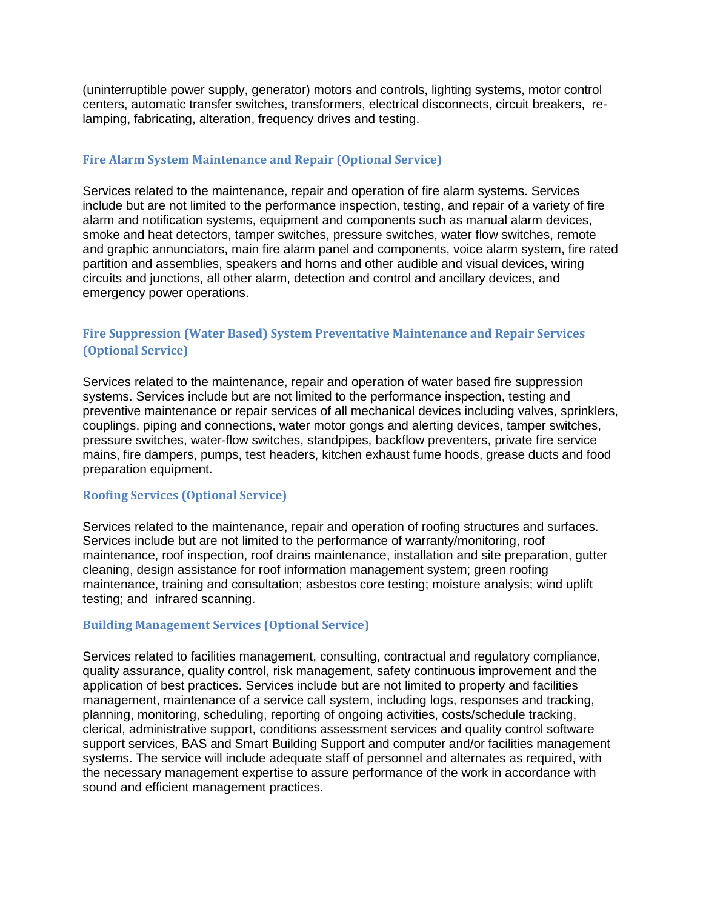(uninterruptible power supply, generator) motors and controls, lighting systems, motor control centers, automatic transfer switches, transformers, electrical disconnects, circuit breakers, relamping, fabricating, alteration, frequency drives and testing.

# **Fire Alarm System Maintenance and Repair (Optional Service)**

Services related to the maintenance, repair and operation of fire alarm systems. Services include but are not limited to the performance inspection, testing, and repair of a variety of fire alarm and notification systems, equipment and components such as manual alarm devices, smoke and heat detectors, tamper switches, pressure switches, water flow switches, remote and graphic annunciators, main fire alarm panel and components, voice alarm system, fire rated partition and assemblies, speakers and horns and other audible and visual devices, wiring circuits and junctions, all other alarm, detection and control and ancillary devices, and emergency power operations.

# **Fire Suppression (Water Based) System Preventative Maintenance and Repair Services (Optional Service)**

Services related to the maintenance, repair and operation of water based fire suppression systems. Services include but are not limited to the performance inspection, testing and preventive maintenance or repair services of all mechanical devices including valves, sprinklers, couplings, piping and connections, water motor gongs and alerting devices, tamper switches, pressure switches, water-flow switches, standpipes, backflow preventers, private fire service mains, fire dampers, pumps, test headers, kitchen exhaust fume hoods, grease ducts and food preparation equipment.

# **Roofing Services (Optional Service)**

Services related to the maintenance, repair and operation of roofing structures and surfaces. Services include but are not limited to the performance of warranty/monitoring, roof maintenance, roof inspection, roof drains maintenance, installation and site preparation, gutter cleaning, design assistance for roof information management system; green roofing maintenance, training and consultation; asbestos core testing; moisture analysis; wind uplift testing; and infrared scanning.

# **Building Management Services (Optional Service)**

Services related to facilities management, consulting, contractual and regulatory compliance, quality assurance, quality control, risk management, safety continuous improvement and the application of best practices. Services include but are not limited to property and facilities management, maintenance of a service call system, including logs, responses and tracking, planning, monitoring, scheduling, reporting of ongoing activities, costs/schedule tracking, clerical, administrative support, conditions assessment services and quality control software support services, BAS and Smart Building Support and computer and/or facilities management systems. The service will include adequate staff of personnel and alternates as required, with the necessary management expertise to assure performance of the work in accordance with sound and efficient management practices.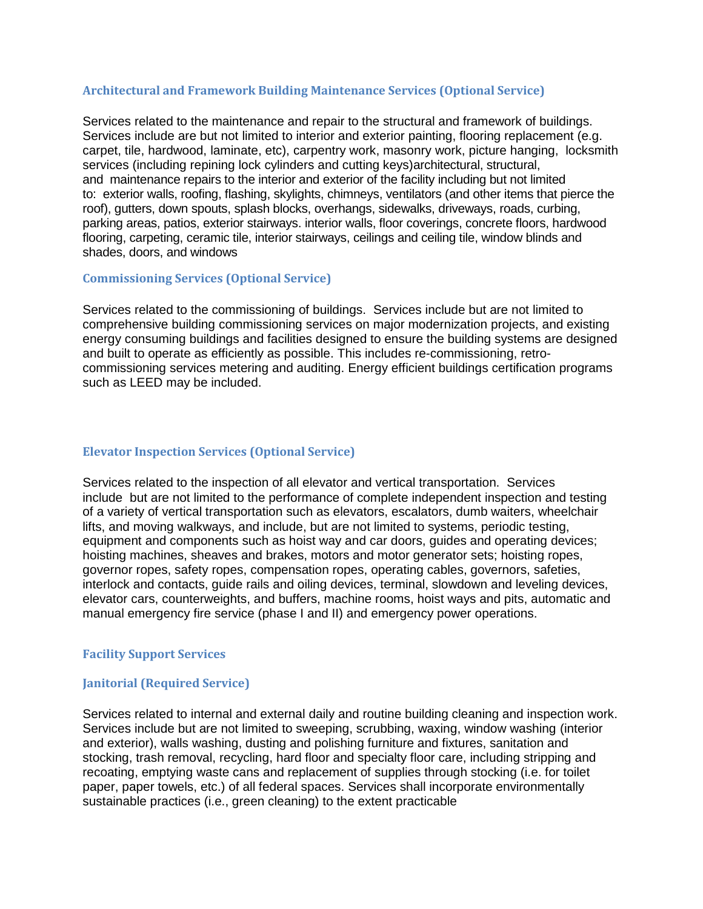# **Architectural and Framework Building Maintenance Services (Optional Service)**

Services related to the maintenance and repair to the structural and framework of buildings. Services include are but not limited to interior and exterior painting, flooring replacement (e.g. carpet, tile, hardwood, laminate, etc), carpentry work, masonry work, picture hanging, locksmith services (including repining lock cylinders and cutting keys)architectural, structural, and maintenance repairs to the interior and exterior of the facility including but not limited to: exterior walls, roofing, flashing, skylights, chimneys, ventilators (and other items that pierce the roof), gutters, down spouts, splash blocks, overhangs, sidewalks, driveways, roads, curbing, parking areas, patios, exterior stairways. interior walls, floor coverings, concrete floors, hardwood flooring, carpeting, ceramic tile, interior stairways, ceilings and ceiling tile, window blinds and shades, doors, and windows

### **Commissioning Services (Optional Service)**

Services related to the commissioning of buildings. Services include but are not limited to comprehensive building commissioning services on major modernization projects, and existing energy consuming buildings and facilities designed to ensure the building systems are designed and built to operate as efficiently as possible. This includes re-commissioning, retrocommissioning services metering and auditing. Energy efficient buildings certification programs such as LEED may be included.

### **Elevator Inspection Services (Optional Service)**

Services related to the inspection of all elevator and vertical transportation. Services include but are not limited to the performance of complete independent inspection and testing of a variety of vertical transportation such as elevators, escalators, dumb waiters, wheelchair lifts, and moving walkways, and include, but are not limited to systems, periodic testing, equipment and components such as hoist way and car doors, guides and operating devices; hoisting machines, sheaves and brakes, motors and motor generator sets; hoisting ropes, governor ropes, safety ropes, compensation ropes, operating cables, governors, safeties, interlock and contacts, guide rails and oiling devices, terminal, slowdown and leveling devices, elevator cars, counterweights, and buffers, machine rooms, hoist ways and pits, automatic and manual emergency fire service (phase I and II) and emergency power operations.

# **Facility Support Services**

# **Janitorial (Required Service)**

Services related to internal and external daily and routine building cleaning and inspection work. Services include but are not limited to sweeping, scrubbing, waxing, window washing (interior and exterior), walls washing, dusting and polishing furniture and fixtures, sanitation and stocking, trash removal, recycling, hard floor and specialty floor care, including stripping and recoating, emptying waste cans and replacement of supplies through stocking (i.e. for toilet paper, paper towels, etc.) of all federal spaces. Services shall incorporate environmentally sustainable practices (i.e., green cleaning) to the extent practicable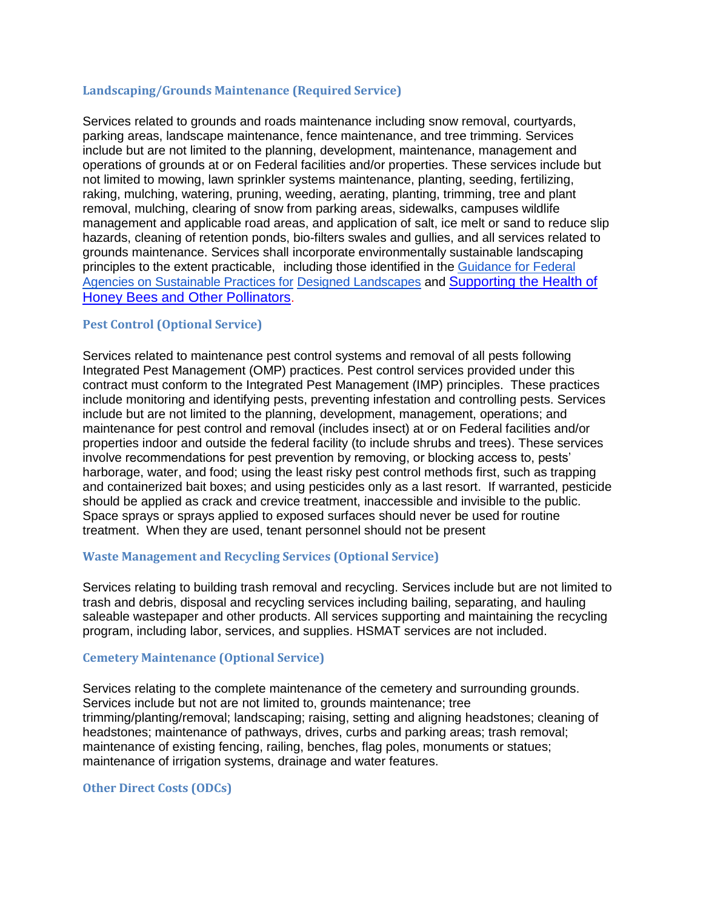## **Landscaping/Grounds Maintenance (Required Service)**

Services related to grounds and roads maintenance including snow removal, courtyards, parking areas, landscape maintenance, fence maintenance, and tree trimming. Services include but are not limited to the planning, development, maintenance, management and operations of grounds at or on Federal facilities and/or properties. These services include but not limited to mowing, lawn sprinkler systems maintenance, planting, seeding, fertilizing, raking, mulching, watering, pruning, weeding, aerating, planting, trimming, tree and plant removal, mulching, clearing of snow from parking areas, sidewalks, campuses wildlife management and applicable road areas, and application of salt, ice melt or sand to reduce slip hazards, cleaning of retention ponds, bio-filters swales and gullies, and all services related to grounds maintenance. Services shall incorporate environmentally sustainable landscaping principles to the extent practicable, including those identified in the [Guidance](http://www.whitehouse.gov/sites/default/files/microsites/ceq/recommendations_on_sustainable_landscaping_practices.pdf) for Federal Agencies [on Sustainable](http://www.whitehouse.gov/sites/default/files/microsites/ceq/recommendations_on_sustainable_landscaping_practices.pdf) Practices for Designed [Landscapes](http://www.whitehouse.gov/sites/default/files/microsites/ceq/recommendations_on_sustainable_landscaping_practices.pdf) and [Supporting the Health of](https://www.whitehouse.gov/sites/default/files/docs/supporting_the_health_of_honey_bees_and_other_pollinators.pdf)  [Honey Bees and Other Pollinators](https://www.whitehouse.gov/sites/default/files/docs/supporting_the_health_of_honey_bees_and_other_pollinators.pdf).

# **Pest Control (Optional Service)**

Services related to maintenance pest control systems and removal of all pests following Integrated Pest Management (OMP) practices. Pest control services provided under this contract must conform to the Integrated Pest Management (IMP) principles. These practices include monitoring and identifying pests, preventing infestation and controlling pests. Services include but are not limited to the planning, development, management, operations; and maintenance for pest control and removal (includes insect) at or on Federal facilities and/or properties indoor and outside the federal facility (to include shrubs and trees). These services involve recommendations for pest prevention by removing, or blocking access to, pests' harborage, water, and food; using the least risky pest control methods first, such as trapping and containerized bait boxes; and using pesticides only as a last resort. If warranted, pesticide should be applied as crack and crevice treatment, inaccessible and invisible to the public. Space sprays or sprays applied to exposed surfaces should never be used for routine treatment. When they are used, tenant personnel should not be present

#### **Waste Management and Recycling Services (Optional Service)**

Services relating to building trash removal and recycling. Services include but are not limited to trash and debris, disposal and recycling services including bailing, separating, and hauling saleable wastepaper and other products. All services supporting and maintaining the recycling program, including labor, services, and supplies. HSMAT services are not included.

#### **Cemetery Maintenance (Optional Service)**

Services relating to the complete maintenance of the cemetery and surrounding grounds. Services include but not are not limited to, grounds maintenance; tree trimming/planting/removal; landscaping; raising, setting and aligning headstones; cleaning of headstones; maintenance of pathways, drives, curbs and parking areas; trash removal; maintenance of existing fencing, railing, benches, flag poles, monuments or statues; maintenance of irrigation systems, drainage and water features.

#### **Other Direct Costs (ODCs)**